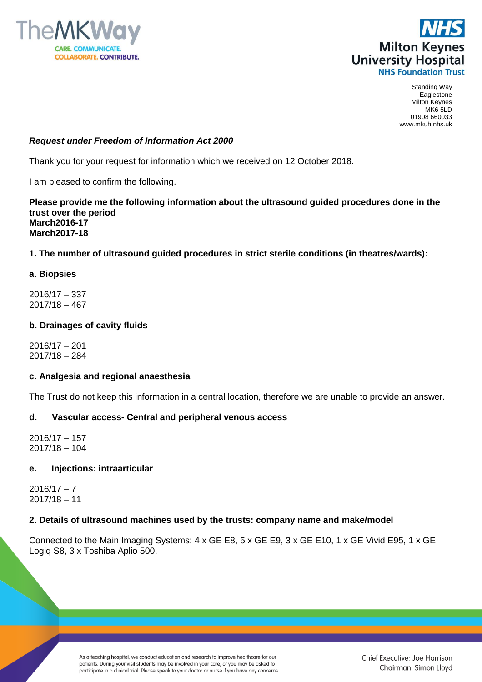



Standing Way Eaglestone Milton Keynes MK6 5LD 01908 660033 www.mkuh.nhs.uk

## *Request under Freedom of Information Act 2000*

Thank you for your request for information which we received on 12 October 2018.

I am pleased to confirm the following.

**Please provide me the following information about the ultrasound guided procedures done in the trust over the period March2016-17 March2017-18**

## **1. The number of ultrasound guided procedures in strict sterile conditions (in theatres/wards):**

#### **a. Biopsies**

2016/17 – 337 2017/18 – 467

#### **b. Drainages of cavity fluids**

2016/17 – 201 2017/18 – 284

#### **c. Analgesia and regional anaesthesia**

The Trust do not keep this information in a central location, therefore we are unable to provide an answer.

## **d. Vascular access- Central and peripheral venous access**

2016/17 – 157 2017/18 – 104

## **e. Injections: intraarticular**

 $2016/17 - 7$ 2017/18 – 11

#### **2. Details of ultrasound machines used by the trusts: company name and make/model**

Connected to the Main Imaging Systems: 4 x GE E8, 5 x GE E9, 3 x GE E10, 1 x GE Vivid E95, 1 x GE Logiq S8, 3 x Toshiba Aplio 500.

> As a teaching hospital, we conduct education and research to improve healthcare for our patients. During your visit students may be involved in your care, or you may be asked to participate in a clinical trial. Please speak to your doctor or nurse if you have any concerns.

Chief Executive: Joe Harrison Chairman: Simon Lloyd